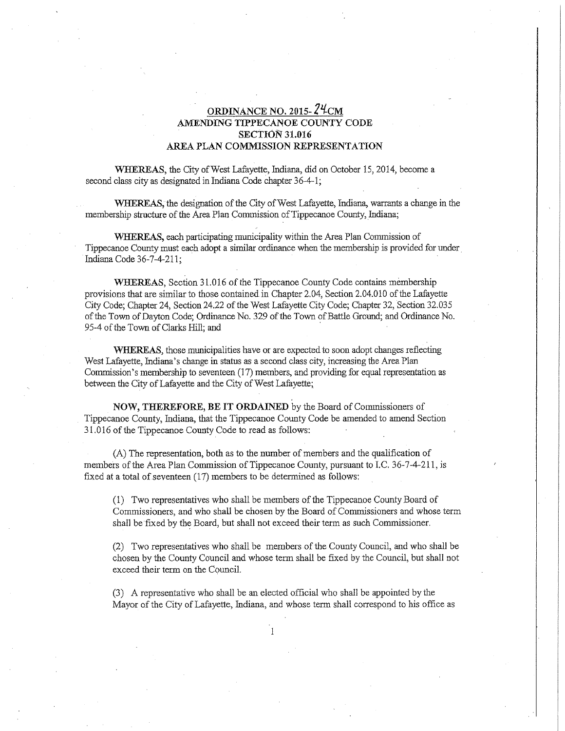## **ORDINANCE No. 201s- Zlf-cM AMENDING TIPPECANOE COUNTY CODE SECTION 31.016 AREA PLAN COMMISSION REPRESENTATION**

**WHEREAS,** the City of West Lafayette, Indiana, did on October 15, 2014, become a second class city as designated in Indiana Code chapter 36-4-1;

**WHEREAS,** the designation of the City of West Lafayette, Imliana, warrants a change in the membership structure of the Area Plan Commission of Tippecanoe County, Indiana;

WHEREAS, each participating municipality within the Area Plan Commission of Tippecanoe County must each adopt a similar ordinance when the membership is provided for under Indiana Code 36-7-4-211;

**WHEREAS,** Section 31. 016 of the Tippecanoe County Code contains membership provisions that are similar to those containedin Chapter 2.04, Section 2.04.010 of the Lafayette City Code; Chapter 24, Section 24.22 of the West Lafayette City Code; Chapter 32, Section 32.035 of the Town of Dayton Code; Ordinance No. 329 of the Town of Battle Ground; and Ordinance No. 95-4 of the Town of Clarks Hill; and

**WHEREAS,** those municipalities have or are expected to soon adopt changes reflecting West Lafayette, Indiana's change in status as a second class city, increasing the Area Plan Commission's membership to seventeen  $(17)$  members, and providing for equal representation as between the City of Lafayette and the City of West Lafayette;

**NOW, THEREFORE) BE IT ORDAINED** by the Board of Commissioners of Tippecanoe County, Indiana, that the Tippecanoe County Code be amended to amend Section 31. 016 of the Tippecanoe County Code to read as follows:

(A) The representation, both as to the number of members and the qualification of members of the Area Plan Commission of Tippecanoe County, pursuant to I.C. 36-7-4-211, is fixed at a total of seventeen (17) members to be determined as follows:

(1) Two representatives who shall be members of the Tippecanoe County Board of Commissioners, and who shall be chosen by the Board of Commissioners and whose term shall be fixed by the Board, but shall not exceed their term as such Commissioner.

(2) Two representatives who shall be members of the County Council, and who shall be chosen by the County Council and whose tenn shall be fixed by the Council, but shall not exceed their term on the Council.

(3) A representative who shall be an elected official who shall be appointed by the Mayor of the City of Lafayette, Indiana, and whose term shall correspond to his office as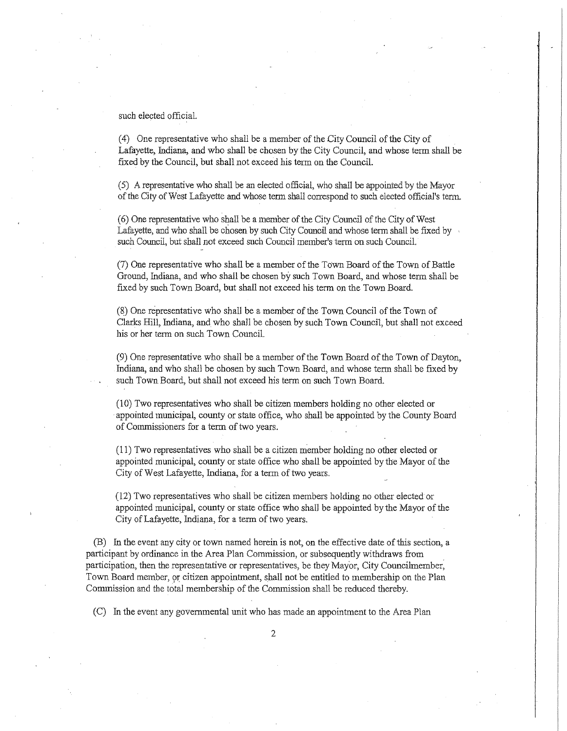such elected official.

( 4) One representative who shall be a member of the City Council of the City of Lafayette, Indiana, and who shall be chosen by the City Council, and whose term shall be fixed by the Council, but shall not exceed his term on the Council.

(5) *A* representative who shall be an elected official, who shall be appointed by the Mayor of the City of West Lafayette and whose term shall correspond to such elected official's term.

( 6) One representative who shall be a member of the City Council of the City of West Lafayette, and who shall be chosen by such City Council and whose tenn shall be fixed by such Council, but shall not exceed such Council member's term on such Council.

(7) One representative who shall be a member of the Town Board of the Town of Battle Ground, Indiana, and who shall be chosen by such Town Board, and whose term shall be fixed by such Town Board, but shall not exceed his term on the Town Board.

(~)One representative who shall be a member of the Town Council of the Town of Clarks Hill, Indiana, and who shall be chosen by such Town Councfl, but shall not exceed his or her term on such Town Council.

(9) One representative who shall be a member of the Town Board of the Town of Dayton, Indiana, and who shall be chosen by such Town Board, and whose term shall be fixed by such Town Board, but shall not exceed his term on such Town Board.

(10) Two representatives who shall be citizen members holding no other elected or appointed municipal, county or state office, who shall be appointed by the County Board of Commissioners for a term of two years.

(11) Two representatives who shall be a citizen member holding no other elected or appointed municipal, county or state office who shall be appointed by the Mayor of the City of West Lafayette, Indiana, for a term of two years.

(12) Two representatives who shall be citizen members holding no other elected or appointed municipal, county or state office who sha!J be appointed by the Mayor of the City of Lafayette, Indiana, for a term of two years.

(B) In the event any city or town named herein is not, on the effective date of this section, a participant by ordinance in the Area Plan Commission, or subsequently withdraws from participation, then the representative or representatives, be they Mayor, City Councilmember: Town Board member, 9r citizen appointment, shall not be entitled to membership on the Plan Commission and the total membership of the Commission shall be reduced thereby.

(C) In the event any governmental unit who bas made an appointment to the Area Plan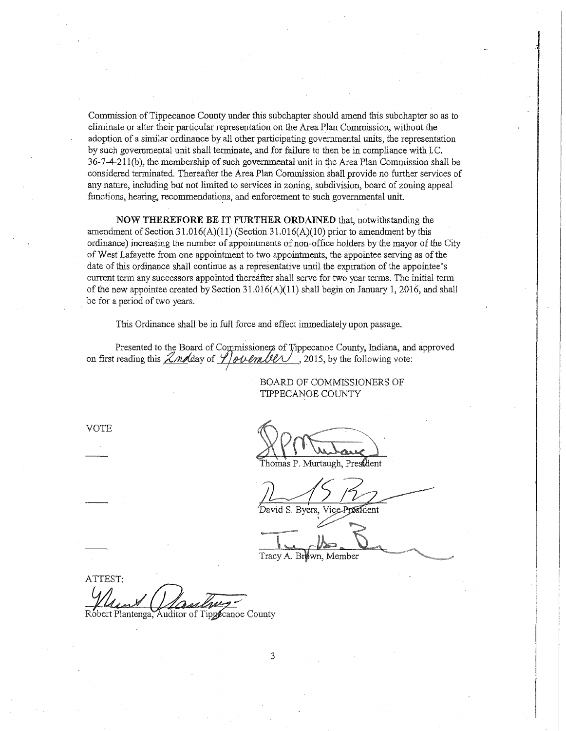Commission of Tippecanoe County under this subchapter should amend this subchapter so as to eliminate or alter their particular representation on the Area Plan Commission, without the adoption of a similar ordinance by all other participating governmental milts, the representation by such governmental unit shall terminate, and for failure to then be in compliance with I.C. 36-7-4-21 l(b), the membership of such governmental unit in the Area Plan Commission shall be considered terminated. Thereafter the Area Plan Commission shall provide no further services of any nature, including but not limited to services in zoning, subdivision, board of zoning appeal functions, hearing, recommendations, and enforcement to such governmental unit.

**NOW THEREFORE BE IT FURTHER ORDAINED** that, notwithstanding the amendment of Section 31.016(A)(11) (Section 31.016(A)(10) prior to amendment by this ordinance) increasing the number of appointments of non-office holders by the mayor of the City of West Lafayette from one appointment to two appointments, the appointee serving as of the date of this ordinance shall continue as a representative until the expiration of the appointee's current term any successors appointed thereafter shall serve for two year tenns. The initial tenn of the new appointee created by Section  $31.016(A)(11)$  shall begin on January 1, 2016, and shall be for a period of two years.

This Ordinance shall be in full force and effect immediately upon passage.

Presented to the Board of Commissioners of Tippecanoe County, Indiana, and approved on first reading this  $\frac{\sqrt{M}}{\sqrt{M}}$  day of  $\frac{\sqrt{M}}{\sqrt{M}}$ , 2015, by the following vote:

> BOARD OF COMMISSIONERS OF TIPPECANOE COUNTY

VOTE

Thomas P. Murtaugh, President

David S. Byers, Vice-President

Tracy A. Brown, Member

ATTEST:

Robert Plantenga, Auditor of Tippecanoe County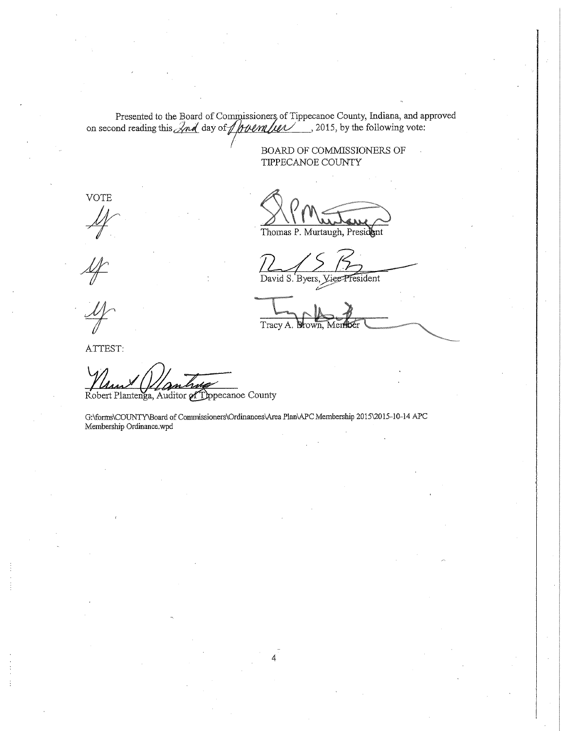Presented to the Board of Commissioners of Tippecanoe County, Indiana, and approved on second reading this  $\sqrt{nd}$  day of  $\sqrt{\frac{num}{num}}$ , 2015, by the following vote:

BOARD OF COMMISSIONERS OF TIPPECANOE COUNTY

VOTE  $4$ 

ATTEST:

Robert Plantenga, Auditor of Typecanoe County

G:\fonns\COUNTY\Board of Commissioners\Ordinances\Area Plan\APC Membership 2015\2015-10-14 APC Membership Ordinance.wpd

Thomas P. Murtaugh, President

David S. Byers, Vier President

Tracy A. Shown,